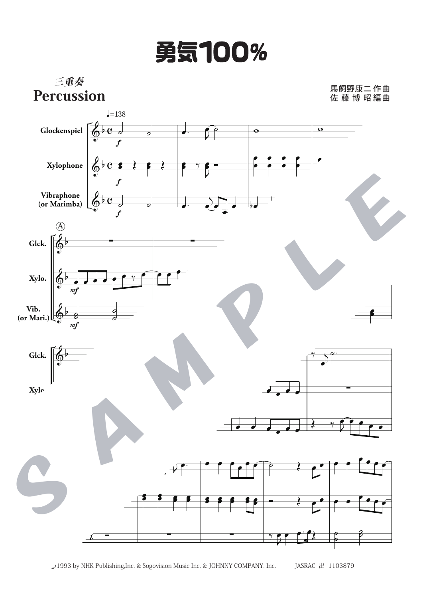## 勇気100%